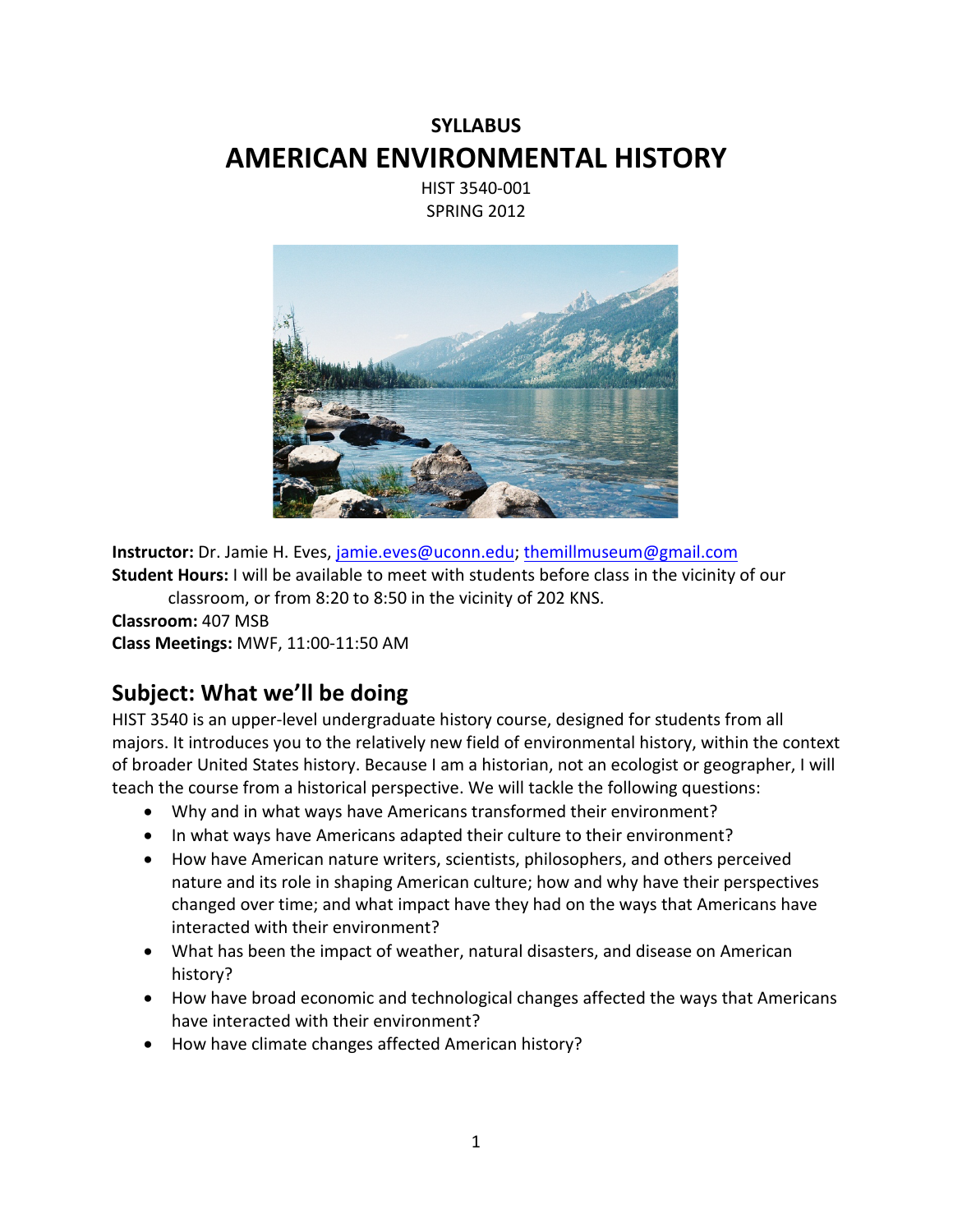# **SYLLABUS AMERICAN ENVIRONMENTAL HISTORY**

HIST 3540-001 SPRING 2012



**Instructor:** Dr. Jamie H. Eves, [jamie.eves@uconn.edu;](mailto:jamie.eves@uconn.edu) [themillmuseum@gmail.com](mailto:themillmuseum@gmail.com)  **Student Hours:** I will be available to meet with students before class in the vicinity of our

classroom, or from 8:20 to 8:50 in the vicinity of 202 KNS.

**Classroom:** 407 MSB **Class Meetings:** MWF, 11:00-11:50 AM

### **Subject: What we'll be doing**

HIST 3540 is an upper-level undergraduate history course, designed for students from all majors. It introduces you to the relatively new field of environmental history, within the context of broader United States history. Because I am a historian, not an ecologist or geographer, I will teach the course from a historical perspective. We will tackle the following questions:

- Why and in what ways have Americans transformed their environment?
- In what ways have Americans adapted their culture to their environment?
- How have American nature writers, scientists, philosophers, and others perceived nature and its role in shaping American culture; how and why have their perspectives changed over time; and what impact have they had on the ways that Americans have interacted with their environment?
- What has been the impact of weather, natural disasters, and disease on American history?
- How have broad economic and technological changes affected the ways that Americans have interacted with their environment?
- How have climate changes affected American history?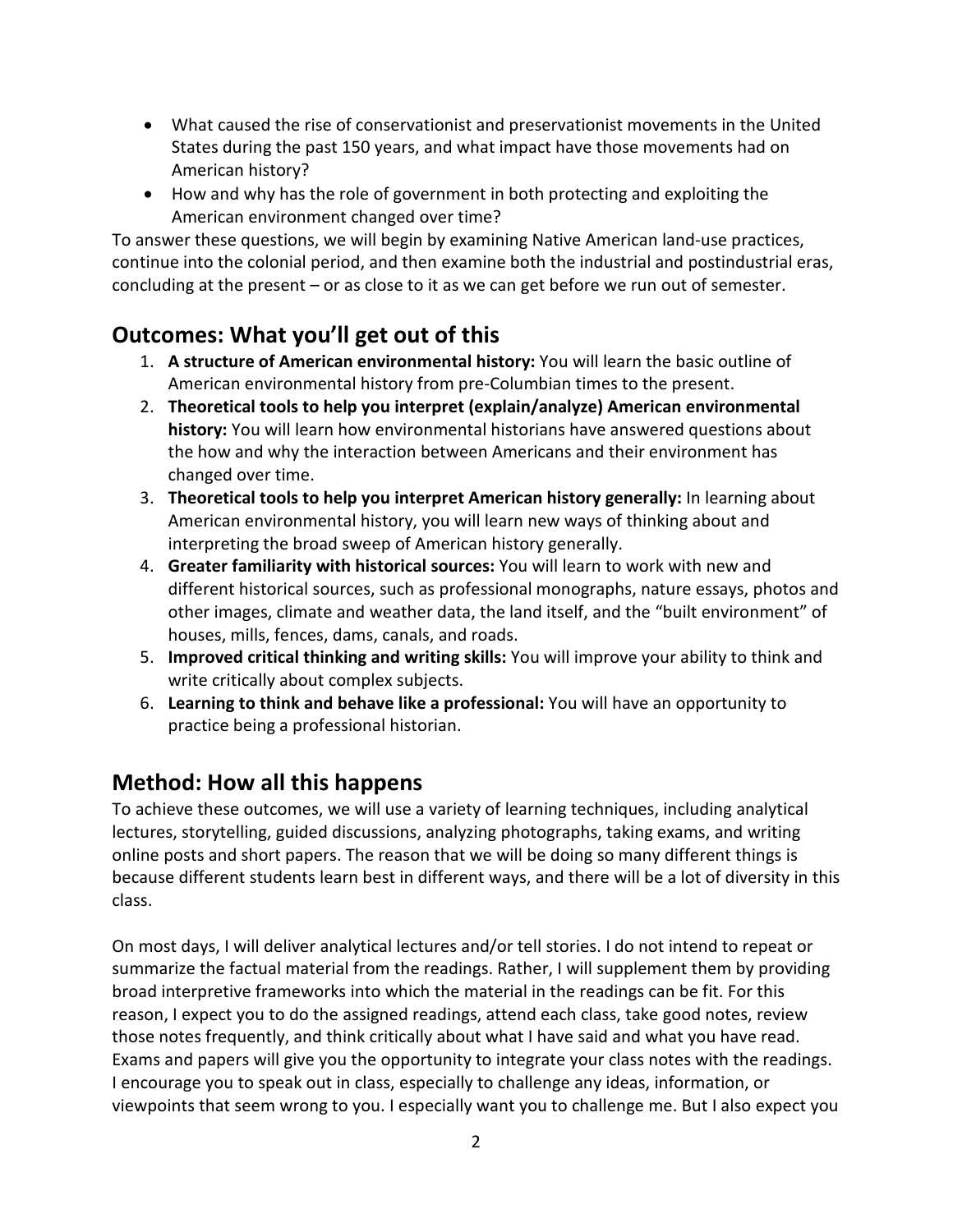- What caused the rise of conservationist and preservationist movements in the United States during the past 150 years, and what impact have those movements had on American history?
- How and why has the role of government in both protecting and exploiting the American environment changed over time?

To answer these questions, we will begin by examining Native American land-use practices, continue into the colonial period, and then examine both the industrial and postindustrial eras, concluding at the present – or as close to it as we can get before we run out of semester.

## **Outcomes: What you'll get out of this**

- 1. **A structure of American environmental history:** You will learn the basic outline of American environmental history from pre-Columbian times to the present.
- 2. **Theoretical tools to help you interpret (explain/analyze) American environmental history:** You will learn how environmental historians have answered questions about the how and why the interaction between Americans and their environment has changed over time.
- 3. **Theoretical tools to help you interpret American history generally:** In learning about American environmental history, you will learn new ways of thinking about and interpreting the broad sweep of American history generally.
- 4. **Greater familiarity with historical sources:** You will learn to work with new and different historical sources, such as professional monographs, nature essays, photos and other images, climate and weather data, the land itself, and the "built environment" of houses, mills, fences, dams, canals, and roads.
- 5. **Improved critical thinking and writing skills:** You will improve your ability to think and write critically about complex subjects.
- 6. **Learning to think and behave like a professional:** You will have an opportunity to practice being a professional historian.

## **Method: How all this happens**

To achieve these outcomes, we will use a variety of learning techniques, including analytical lectures, storytelling, guided discussions, analyzing photographs, taking exams, and writing online posts and short papers. The reason that we will be doing so many different things is because different students learn best in different ways, and there will be a lot of diversity in this class.

On most days, I will deliver analytical lectures and/or tell stories. I do not intend to repeat or summarize the factual material from the readings. Rather, I will supplement them by providing broad interpretive frameworks into which the material in the readings can be fit. For this reason, I expect you to do the assigned readings, attend each class, take good notes, review those notes frequently, and think critically about what I have said and what you have read. Exams and papers will give you the opportunity to integrate your class notes with the readings. I encourage you to speak out in class, especially to challenge any ideas, information, or viewpoints that seem wrong to you. I especially want you to challenge me. But I also expect you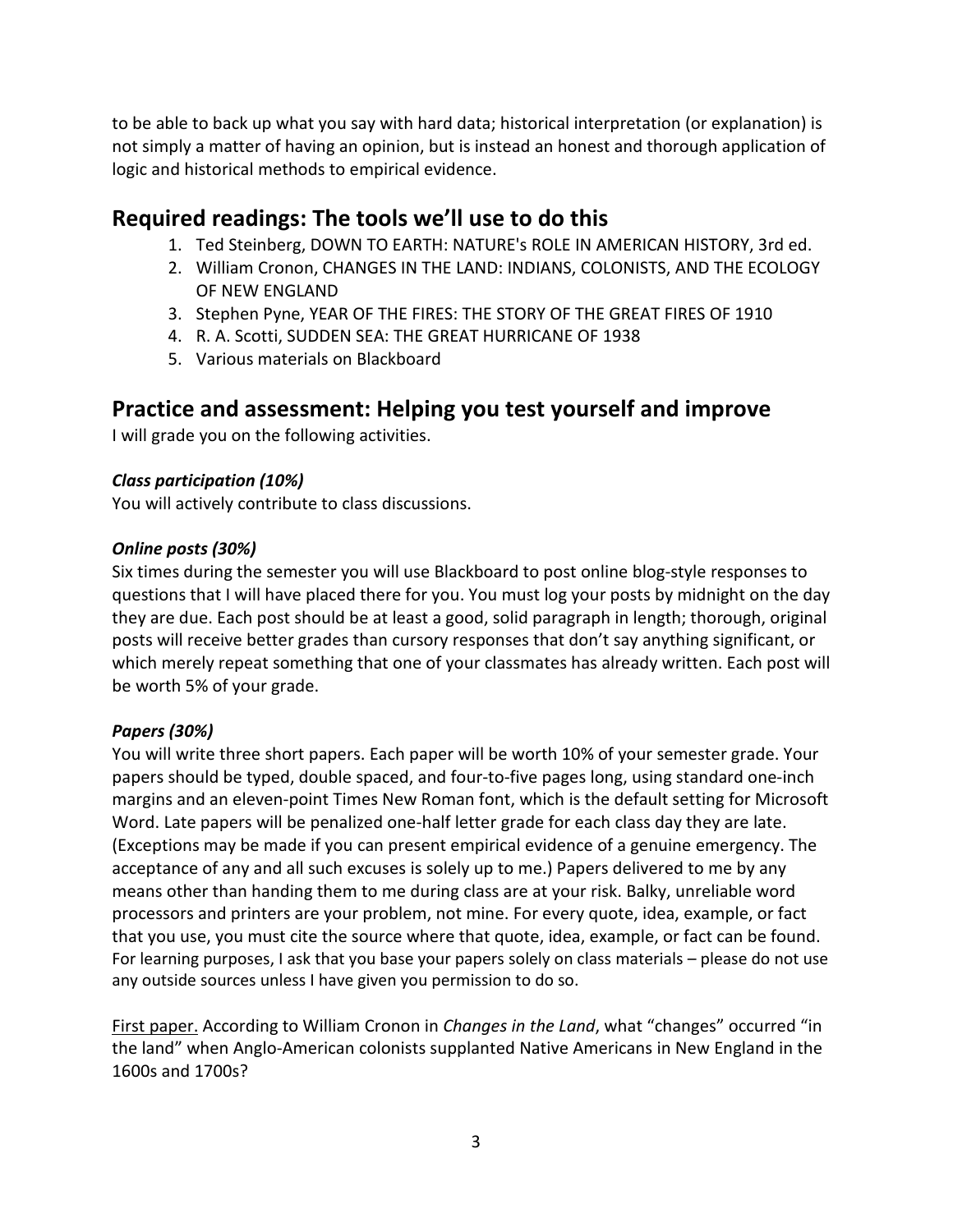to be able to back up what you say with hard data; historical interpretation (or explanation) is not simply a matter of having an opinion, but is instead an honest and thorough application of logic and historical methods to empirical evidence.

### **Required readings: The tools we'll use to do this**

- 1. Ted Steinberg, DOWN TO EARTH: NATURE's ROLE IN AMERICAN HISTORY, 3rd ed.
- 2. William Cronon, CHANGES IN THE LAND: INDIANS, COLONISTS, AND THE ECOLOGY OF NEW ENGLAND
- 3. Stephen Pyne, YEAR OF THE FIRES: THE STORY OF THE GREAT FIRES OF 1910
- 4. R. A. Scotti, SUDDEN SEA: THE GREAT HURRICANE OF 1938
- 5. Various materials on Blackboard

### **Practice and assessment: Helping you test yourself and improve**

I will grade you on the following activities.

### *Class participation (10%)*

You will actively contribute to class discussions.

### *Online posts (30%)*

Six times during the semester you will use Blackboard to post online blog-style responses to questions that I will have placed there for you. You must log your posts by midnight on the day they are due. Each post should be at least a good, solid paragraph in length; thorough, original posts will receive better grades than cursory responses that don't say anything significant, or which merely repeat something that one of your classmates has already written. Each post will be worth 5% of your grade.

### *Papers (30%)*

You will write three short papers. Each paper will be worth 10% of your semester grade. Your papers should be typed, double spaced, and four-to-five pages long, using standard one-inch margins and an eleven-point Times New Roman font, which is the default setting for Microsoft Word. Late papers will be penalized one-half letter grade for each class day they are late. (Exceptions may be made if you can present empirical evidence of a genuine emergency. The acceptance of any and all such excuses is solely up to me.) Papers delivered to me by any means other than handing them to me during class are at your risk. Balky, unreliable word processors and printers are your problem, not mine. For every quote, idea, example, or fact that you use, you must cite the source where that quote, idea, example, or fact can be found. For learning purposes, I ask that you base your papers solely on class materials – please do not use any outside sources unless I have given you permission to do so.

First paper. According to William Cronon in *Changes in the Land*, what "changes" occurred "in the land" when Anglo-American colonists supplanted Native Americans in New England in the 1600s and 1700s?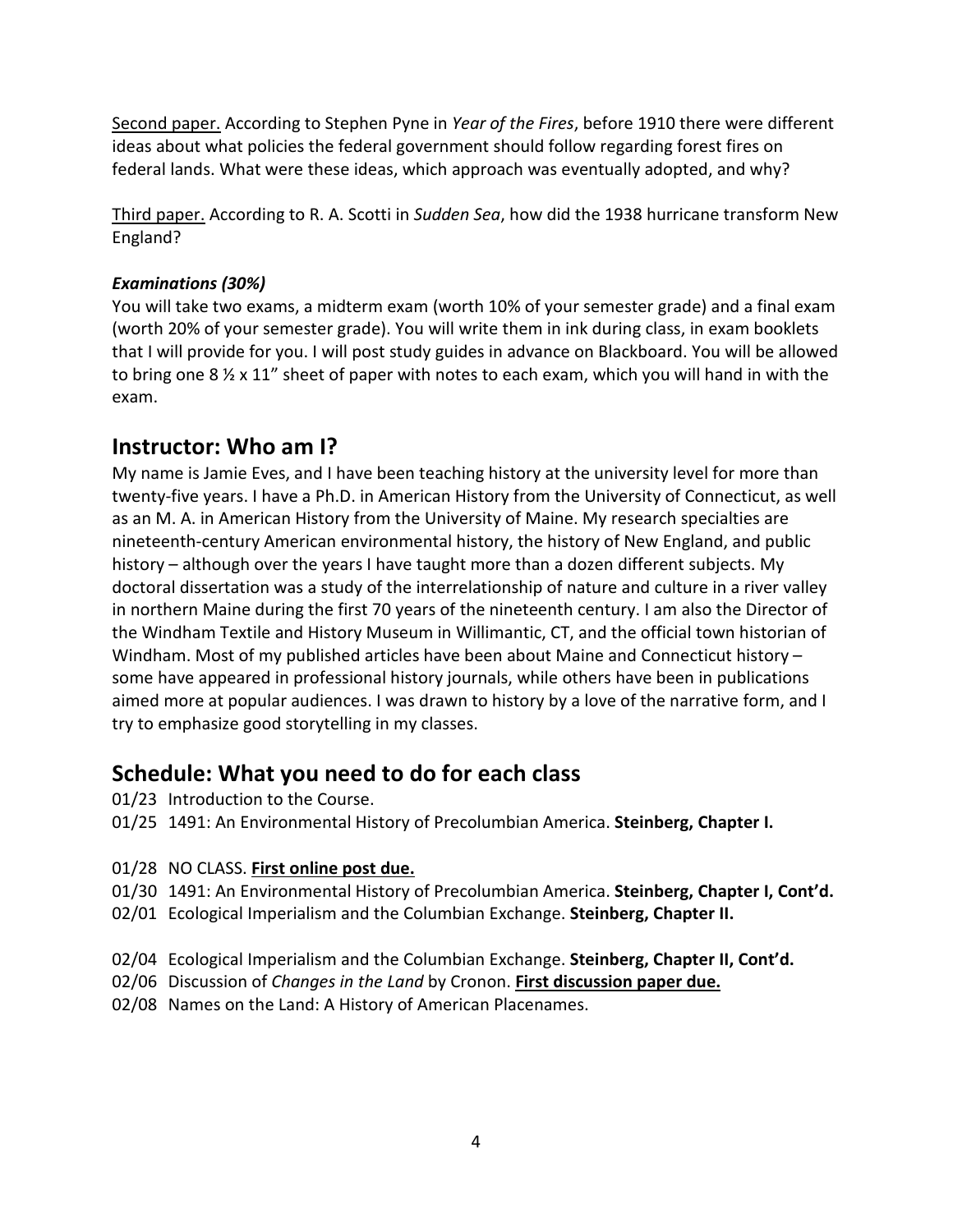Second paper. According to Stephen Pyne in *Year of the Fires*, before 1910 there were different ideas about what policies the federal government should follow regarding forest fires on federal lands. What were these ideas, which approach was eventually adopted, and why?

Third paper. According to R. A. Scotti in *Sudden Sea*, how did the 1938 hurricane transform New England?

### *Examinations (30%)*

You will take two exams, a midterm exam (worth 10% of your semester grade) and a final exam (worth 20% of your semester grade). You will write them in ink during class, in exam booklets that I will provide for you. I will post study guides in advance on Blackboard. You will be allowed to bring one 8  $\frac{1}{2}$  x 11" sheet of paper with notes to each exam, which you will hand in with the exam.

### **Instructor: Who am I?**

My name is Jamie Eves, and I have been teaching history at the university level for more than twenty-five years. I have a Ph.D. in American History from the University of Connecticut, as well as an M. A. in American History from the University of Maine. My research specialties are nineteenth-century American environmental history, the history of New England, and public history – although over the years I have taught more than a dozen different subjects. My doctoral dissertation was a study of the interrelationship of nature and culture in a river valley in northern Maine during the first 70 years of the nineteenth century. I am also the Director of the Windham Textile and History Museum in Willimantic, CT, and the official town historian of Windham. Most of my published articles have been about Maine and Connecticut history – some have appeared in professional history journals, while others have been in publications aimed more at popular audiences. I was drawn to history by a love of the narrative form, and I try to emphasize good storytelling in my classes.

### **Schedule: What you need to do for each class**

- 01/23 Introduction to the Course.
- 01/25 1491: An Environmental History of Precolumbian America. **Steinberg, Chapter I.**

### 01/28 NO CLASS. **First online post due.**

- 01/30 1491: An Environmental History of Precolumbian America. **Steinberg, Chapter I, Cont'd.**
- 02/01 Ecological Imperialism and the Columbian Exchange. **Steinberg, Chapter II.**
- 02/04 Ecological Imperialism and the Columbian Exchange. **Steinberg, Chapter II, Cont'd.**
- 02/06 Discussion of *Changes in the Land* by Cronon. **First discussion paper due.**
- 02/08 Names on the Land: A History of American Placenames.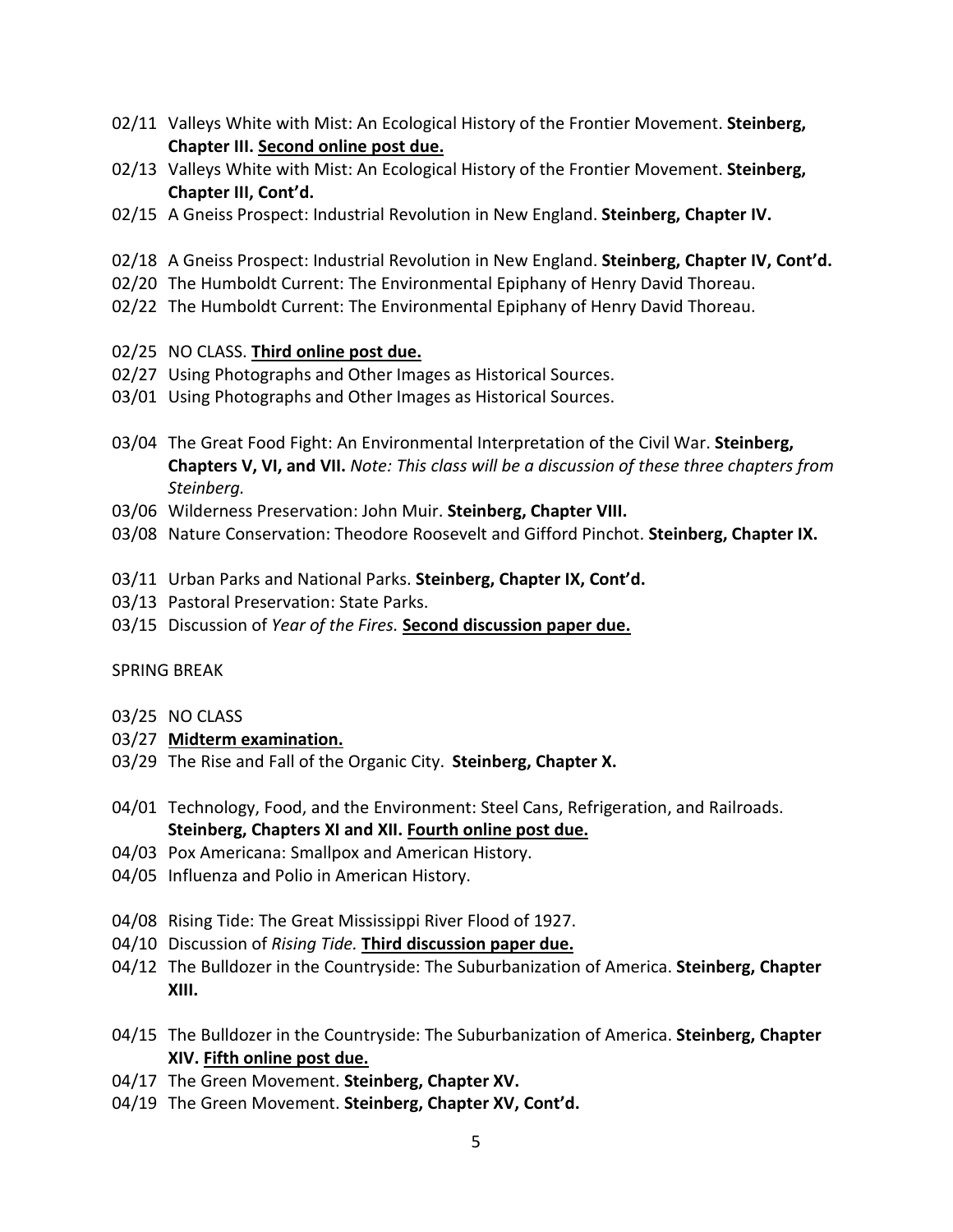- 02/11 Valleys White with Mist: An Ecological History of the Frontier Movement. **Steinberg, Chapter III. Second online post due.**
- 02/13 Valleys White with Mist: An Ecological History of the Frontier Movement. **Steinberg, Chapter III, Cont'd.**
- 02/15 A Gneiss Prospect: Industrial Revolution in New England. **Steinberg, Chapter IV.**
- 02/18 A Gneiss Prospect: Industrial Revolution in New England. **Steinberg, Chapter IV, Cont'd.**
- 02/20 The Humboldt Current: The Environmental Epiphany of Henry David Thoreau.
- 02/22 The Humboldt Current: The Environmental Epiphany of Henry David Thoreau.

#### 02/25 NO CLASS. **Third online post due.**

- 02/27 Using Photographs and Other Images as Historical Sources.
- 03/01 Using Photographs and Other Images as Historical Sources.
- 03/04 The Great Food Fight: An Environmental Interpretation of the Civil War. **Steinberg, Chapters V, VI, and VII.** *Note: This class will be a discussion of these three chapters from Steinberg.*
- 03/06 Wilderness Preservation: John Muir. **Steinberg, Chapter VIII.**
- 03/08 Nature Conservation: Theodore Roosevelt and Gifford Pinchot. **Steinberg, Chapter IX.**
- 03/11 Urban Parks and National Parks. **Steinberg, Chapter IX, Cont'd.**
- 03/13 Pastoral Preservation: State Parks.
- 03/15 Discussion of *Year of the Fires.* **Second discussion paper due.**

### SPRING BREAK

- 03/25 NO CLASS
- 03/27 **Midterm examination.**
- 03/29 The Rise and Fall of the Organic City. **Steinberg, Chapter X.**
- 04/01 Technology, Food, and the Environment: Steel Cans, Refrigeration, and Railroads. **Steinberg, Chapters XI and XII. Fourth online post due.**
- 04/03 Pox Americana: Smallpox and American History.
- 04/05 Influenza and Polio in American History.
- 04/08 Rising Tide: The Great Mississippi River Flood of 1927.
- 04/10 Discussion of *Rising Tide.* **Third discussion paper due.**
- 04/12 The Bulldozer in the Countryside: The Suburbanization of America. **Steinberg, Chapter XIII.**
- 04/15 The Bulldozer in the Countryside: The Suburbanization of America. **Steinberg, Chapter XIV. Fifth online post due.**
- 04/17 The Green Movement. **Steinberg, Chapter XV.**
- 04/19 The Green Movement. **Steinberg, Chapter XV, Cont'd.**